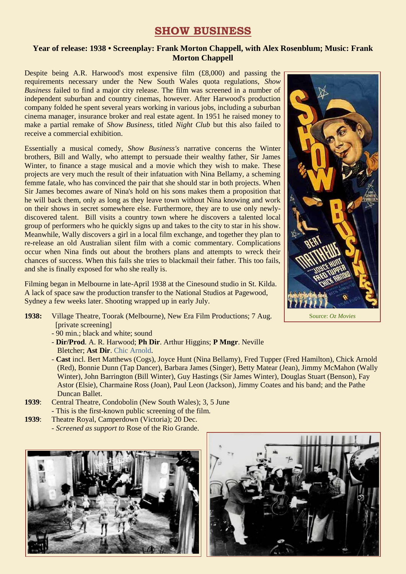## **SHOW BUSINESS**

## **Year of release: 1938 • Screenplay: Frank Morton Chappell, with Alex Rosenblum; Music: Frank Morton Chappell**

Despite being A.R. Harwood's most expensive film (£8,000) and passing the requirements necessary under the New South Wales quota regulations, *Show Business* failed to find a major city release. The film was screened in a number of independent suburban and country cinemas, however. After Harwood's production company folded he spent several years working in various jobs, including a suburban cinema manager, insurance broker and real estate agent. In 1951 he raised money to make a partial remake of *Show Business*, titled *Night Club* but this also failed to receive a commercial exhibition.

Essentially a musical comedy, *Show Business's* narrative concerns the Winter brothers, Bill and Wally, who attempt to persuade their wealthy father, Sir James Winter, to finance a stage musical and a movie which they wish to make. These projects are very much the result of their infatuation with Nina Bellamy, a scheming femme fatale, who has convinced the pair that she should star in both projects. When Sir James becomes aware of Nina's hold on his sons makes them a proposition that he will back them, only as long as they leave town without Nina knowing and work on their shows in secret somewhere else. Furthermore, they are to use only newlydiscovered talent. Bill visits a country town where he discovers a talented local group of performers who he quickly signs up and takes to the city to star in his show. Meanwhile, Wally discovers a girl in a local film exchange, and together they plan to re-release an old Australian silent film with a comic commentary. Complications occur when Nina finds out about the brothers plans and attempts to wreck their chances of success. When this fails she tries to blackmail their father. This too fails, and she is finally exposed for who she really is.

Filming began in Melbourne in late-April 1938 at the Cinesound studio in St. Kilda. A lack of space saw the production transfer to the National Studios at Pagewood, Sydney a few weeks later. Shooting wrapped up in early July.

- **1938:** Village Theatre, Toorak (Melbourne), New Era Film Productions; 7 Aug. [private screening]
	- 90 min.; black and white; sound
	- **Dir/Prod**. A. R. Harwood; **Ph Dir**. Arthur Higgins; **P Mngr**. Neville Bletcher; **Ast Dir**. [Chic Arnold.](https://ozvta.com/practitioners-a/)
	- **Cast** incl. Bert Matthews (Cogs), Joyce Hunt (Nina Bellamy), Fred Tupper (Fred Hamilton), Chick Arnold (Red), Bonnie Dunn (Tap Dancer), Barbara James (Singer), Betty Matear (Jean), Jimmy McMahon (Wally Winter), John Barrington (Bill Winter), Guy Hastings (Sir James Winter), Douglas Stuart (Benson), Fay Astor (Elsie), Charmaine Ross (Joan), Paul Leon (Jackson), Jimmy Coates and his band; and the Pathe Duncan Ballet.
- **1939**: Central Theatre, Condobolin (New South Wales); 3, 5 June - This is the first-known public screening of the film.
- **1939**: Theatre Royal, Camperdown (Victoria); 20 Dec. *- Screened as support to* Rose of the Rio Grande.







Source: *Oz Movies*